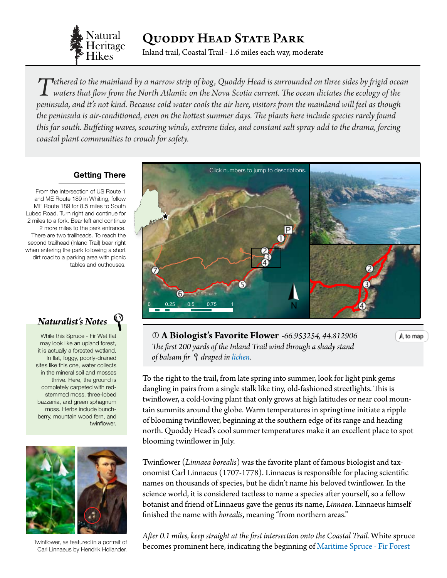

Quoddy Head State Park

Inland trail, Coastal Trail - 1.6 miles each way, moderate

Tethered to the mainland by a narrow strip of bog, Quoddy Head is surrounded on three sides by frigid ocean<br>waters that flow from the North Atlantic on the Nova Scotia current. The ocean dictates the ecology of the<br>wainsul *peninsula, and it's not kind. Because cold water cools the air here, visitors from the mainland will feel as though the peninsula is air-conditioned, even on the hottest summer days. The plants here include species rarely found this far south. Buffeting waves, scouring winds, extreme tides, and constant salt spray add to the drama, forcing coastal plant communities to crouch for safety.*

## **Getting There**

From the intersection of US Route 1 and ME Route 189 in Whiting, follow ME Route 189 for 8.5 miles to South Lubec Road. Turn right and continue for 2 miles to a fork. Bear left and continue 2 more miles to the park entrance. There are two trailheads. To reach the second trailhead (Inland Trail) bear right when entering the park following a short dirt road to a parking area with picnic tables and outhouses.

*Naturalist's Notes*

may look like an upland forest, While this Spruce - Fir Wet flat it is actually a forested wetland. In flat, foggy, poorly-drained sites like this one, water collects in the mineral soil and mosses thrive. Here, the ground is completely carpeted with redstemmed moss, three-lobed bazzania, and green sphagnum moss. Herbs include bunchberry, mountain wood fern, and twinflower.



Twinflower, as featured in a portrait of Carl Linnaeus by Hendrik Hollander.

<span id="page-0-0"></span>

 **A Biologist's Favorite Flower** *-66.953254, 44.812906 The first 200 yards of the Inland Trail wind through a shady stand of balsam fir draped in [lichen](#page-3-0).*  0 0.05 0.1 0.15 0.2

A to map

To the right to the trail, from late spring into summer, look for light pink gems dangling in pairs from a single stalk like tiny, old-fashioned streetlights. This is twinflower, a cold-loving plant that only grows at high latitudes or near cool mountain summits around the globe. Warm temperatures in springtime initiate a ripple of blooming twinflower, beginning at the southern edge of its range and heading north. Quoddy Head's cool summer temperatures make it an excellent place to spot blooming twinflower in July. IEI, IOOK IOI IIGHL PIIIK GEHIS

Twinflower (*Linnaea borealis*) was the favorite plant of famous biologist and taxonomist Carl Linnaeus (1707-1778). Linnaeus is responsible for placing scientific names on thousands of species, but he didn't name his beloved twinflower. In the science world, it is considered tactless to name a species after yourself, so a fellow botanist and friend of Linnaeus gave the genus its name, *Linnaea*. Linnaeus himself finished the name with *borealis*, meaning "from northern areas."

*After 0.1 miles, keep straight at the first intersection onto the Coastal Trail.* White spruce becomes prominent here, indicating the beginning of [Maritime Spruce - Fir Forest](http://www.maine.gov/dacf/mnap/features/communities/maritimesprucefirforest.htm)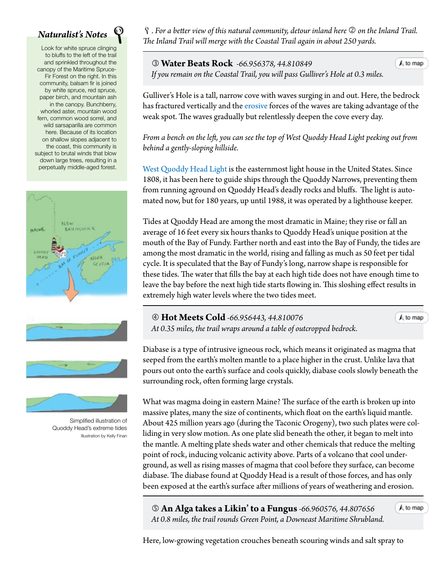## *Naturalist's Notes*

Look for white spruce clinging to bluffs to the left of the trail and sprinkled throughout the canopy of the Maritime Spruce-Fir Forest on the right. In this community, balsam fir is joined by white spruce, red spruce, paper birch, and mountain ash in the canopy. Bunchberry, whorled aster, mountain wood fern, common wood sorrel, and wild sarsaparilla are common here. Because of its location on shallow slopes adjacent to the coast, this community is subject to brutal winds that blow down large trees, resulting in a perpetually middle-aged forest.





Simplified illustration of Quoddy Head's extreme tides Illustration by Kelly Finan

. *For a better view of this natural community, detour inland here on the Inland Trail. The Inland Trail will merge with the Coastal Trail again in about 250 yards.*

 **Water Beats Rock** *-66.956378, 44.810849 If you remain on the Coastal Trail, you will pass Gulliver's Hole at 0.3 miles[.](#page-0-0)* 

Gulliver's Hole is a tall, narrow cove with waves surging in and out. Here, the bedrock has fractured vertically and the [erosive](#page-3-0) forces of the waves are taking advantage of the weak spot. The waves gradually but relentlessly deepen the cove every day.

*From a bench on the left, you can see the top of West Quoddy Head Light peeking out from behind a gently-sloping hillside.*

[West Quoddy Head Light](http://www.westquoddy.com/) is the easternmost light house in the United States. Since 1808, it has been here to guide ships through the Quoddy Narrows, preventing them from running aground on Quoddy Head's deadly rocks and bluffs. The light is automated now, but for 180 years, up until 1988, it was operated by a lighthouse keeper.

Tides at Quoddy Head are among the most dramatic in Maine; they rise or fall an average of 16 feet every six hours thanks to Quoddy Head's unique position at the mouth of the Bay of Fundy. Farther north and east into the Bay of Fundy, the tides are among the most dramatic in the world, rising and falling as much as 50 feet per tidal cycle. It is speculated that the Bay of Fundy's long, narrow shape is responsible for these tides. The water that fills the bay at each high tide does not have enough time to leave the bay before the next high tide starts flowing in. This sloshing effect results in extremely high water levels where the two tides meet.

 **Hot Meets Cold** *-66.956443, 44.810076 At 0.35 miles, the trail wraps around a table of outcropped bedrock.*

A to map

 $A$  to map

Diabase is a type of intrusive igneous rock, which means it originated as magma that seeped from the earth's molten mantle to a place higher in the crust. Unlike lava that pours out onto the earth's surface and cools quickly, diabase cools slowly beneath the surrounding rock, often forming large crystals.

What was magma doing in eastern Maine? The surface of the earth is broken up into massive plates, many the size of continents, which float on the earth's liquid mantle. About 425 million years ago (during the Taconic Orogeny), two such plates were colliding in very slow motion. As one plate slid beneath the other, it began to melt into the mantle. A melting plate sheds water and other chemicals that reduce the melting point of rock, inducing volcanic activity above. Parts of a volcano that cool underground, as well as rising masses of magma that cool before they surface, can become diabase. The diabase found at Quoddy Head is a result of those forces, and has only been exposed at the earth's surface after millions of years of weathering and erosion.

 **An Alga takes a Likin' to a Fungus***-66.960576, 44.807656 At 0.8 miles, the trail rounds Green Point, a Downeast Maritime Shrublan[d.](#page-0-0)* A to map

Here, low-growing vegetation crouches beneath scouring winds and salt spray to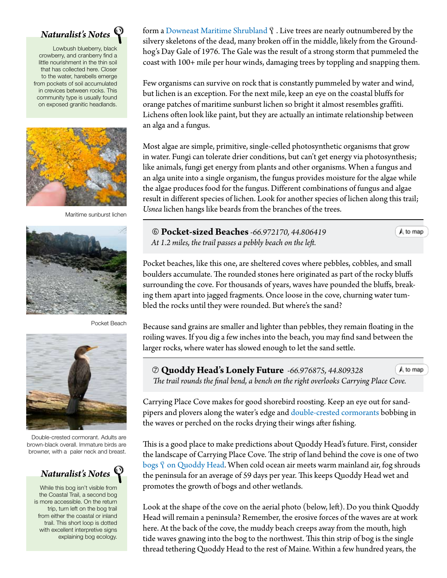

Lowbush blueberry, black crowberry, and cranberry find a little nourishment in the thin soil that has collected here. Closer to the water, harebells emerge from pockets of soil accumulated in crevices between rocks. This community type is usually found on exposed granitic headlands.



Maritime sunburst lichen



Pocket Beach



Double-crested cormorant. Adults are brown-black overall. Immature birds are browner, with a paler neck and breast.



While this bog isn't visible from the Coastal Trail, a second bog is more accessible. On the return trip, turn left on the bog trail from either the coastal or inland trail. This short loop is dotted with excellent interpretive signs explaining bog ecology.

form a [Downeast Maritime Shrubland](http://www.maine.gov/dacf/mnap/features/communities/crowberrybayberry.htm)  $\mathcal{P}$  . Live trees are nearly outnumbered by the silvery skeletons of the dead, many broken off in the middle, likely from the Groundhog's Day Gale of 1976. The Gale was the result of a strong storm that pummeled the coast with 100+ mile per hour winds, damaging trees by toppling and snapping them.

Few organisms can survive on rock that is constantly pummeled by water and wind, but lichen is an exception. For the next mile, keep an eye on the coastal bluffs for orange patches of maritime sunburst lichen so bright it almost resembles graffiti. Lichens often look like paint, but they are actually an intimate relationship between an alga and a fungus.

Most algae are simple, primitive, single-celled photosynthetic organisms that grow in water. Fungi can tolerate drier conditions, but can't get energy via photosynthesis; like animals, fungi get energy from plants and other organisms. When a fungus and an alga unite into a single organism, the fungus provides moisture for the algae while the algae produces food for the fungus. Different combinations of fungus and algae result in different species of lichen. Look for another species of lichen along this trail; *Usnea* lichen hangs like beards from the branches of the trees.

 **Pocket-sized Beaches** *-66.972170, 44.806419 At 1.2 miles, the trail passes a pebbly beach on the left.*

 $\bigwedge$  to map

Pocket beaches, like this one, are sheltered coves where pebbles, cobbles, and small boulders accumulate. The rounded stones here originated as part of the rocky bluffs surrounding the cove. For thousands of years, waves have pounded the bluffs, breaking them apart into jagged fragments. Once loose in the cove, churning water tumbled the rocks until they were rounded. But where's the sand?

Because sand grains are smaller and lighter than pebbles, they remain floating in the roiling waves. If you dig a few inches into the beach, you may find sand between the larger rocks, where water has slowed enough to let the sand settle.

 **Quoddy Head's Lonely Future** *-66.976875, 44.809328* A to map The trail rounds the final bend, a bench on the right overlooks Carrying Pla[ce Cove.](#page-0-0)

Carrying Place Cove makes for good shorebird roosting. Keep an eye out for sandpipers and plovers along the water's edge and [double-crested cormorants](http://www.allaboutbirds.org/guide/Double-crested_Cormorant/id) bobbing in the waves or perched on the rocks drying their wings after fishing.

This is a good place to make predictions about Quoddy Head's future. First, consider the landscape of Carrying Place Cove. The strip of land behind the cove is one of two bogs  $\hat{y}$  [on Quoddy Head](http://www.maine.gov/dacf/mnap/features/eco_coastalbog.htm). When cold ocean air meets warm mainland air, fog shrouds the peninsula for an average of 59 days per year. This keeps Quoddy Head wet and promotes the growth of bogs and other wetlands.

Look at the shape of the cove on the aerial photo (below, left). Do you think Quoddy Head will remain a peninsula? Remember, the erosive forces of the waves are at work here. At the back of the cove, the muddy beach creeps away from the mouth, high tide waves gnawing into the bog to the northwest. This thin strip of bog is the single thread tethering Quoddy Head to the rest of Maine. Within a few hundred years, the